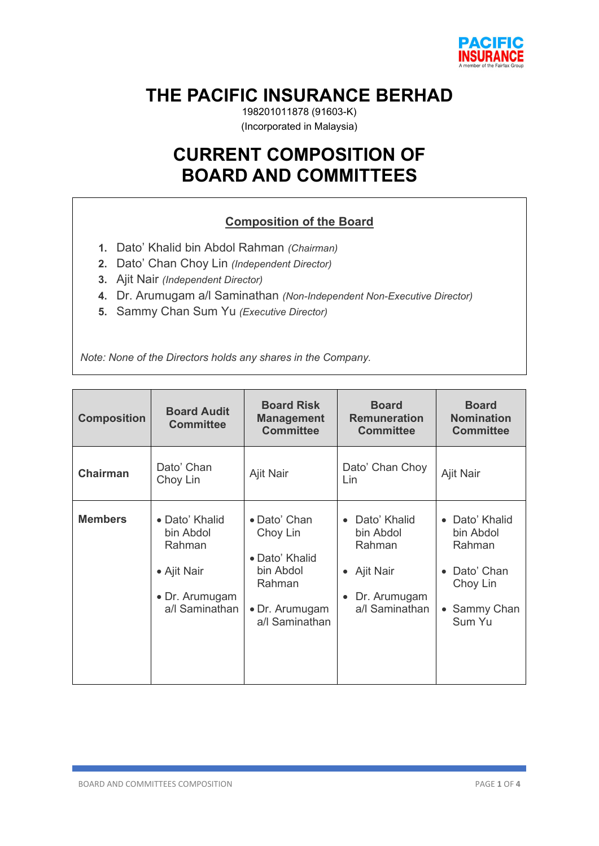

# **THE PACIFIC INSURANCE BERHAD**

198201011878 (91603-K) (Incorporated in Malaysia)

# **CURRENT COMPOSITION OF BOARD AND COMMITTEES**

# **Composition of the Board**

- **1.** Dato' Khalid bin Abdol Rahman *(Chairman)*
- **2.** Dato' Chan Choy Lin *(Independent Director)*
- **3.** Ajit Nair *(Independent Director)*
- **4.** Dr. Arumugam a/l Saminathan *(Non-Independent Non-Executive Director)*
- **5.** Sammy Chan Sum Yu *(Executive Director)*

*Note: None of the Directors holds any shares in the Company.*

| <b>Composition</b> | <b>Board Audit</b><br><b>Committee</b>                                                   | <b>Board Risk</b><br><b>Management</b><br><b>Committee</b>                                            | <b>Board</b><br><b>Remuneration</b><br><b>Committee</b>                            | <b>Board</b><br><b>Nomination</b><br><b>Committee</b>                                                                        |
|--------------------|------------------------------------------------------------------------------------------|-------------------------------------------------------------------------------------------------------|------------------------------------------------------------------------------------|------------------------------------------------------------------------------------------------------------------------------|
| <b>Chairman</b>    | Dato' Chan<br>Choy Lin                                                                   | Ajit Nair                                                                                             | Dato' Chan Choy<br>Lin                                                             | Ajit Nair                                                                                                                    |
| <b>Members</b>     | • Dato' Khalid<br>bin Abdol<br>Rahman<br>• Ajit Nair<br>• Dr. Arumugam<br>a/l Saminathan | • Dato' Chan<br>Choy Lin<br>• Dato' Khalid<br>bin Abdol<br>Rahman<br>• Dr. Arumugam<br>a/l Saminathan | Dato' Khalid<br>bin Abdol<br>Rahman<br>Ajit Nair<br>Dr. Arumugam<br>a/l Saminathan | Dato' Khalid<br>$\bullet$<br>bin Abdol<br>Rahman<br>Dato' Chan<br>$\bullet$<br>Choy Lin<br>Sammy Chan<br>$\bullet$<br>Sum Yu |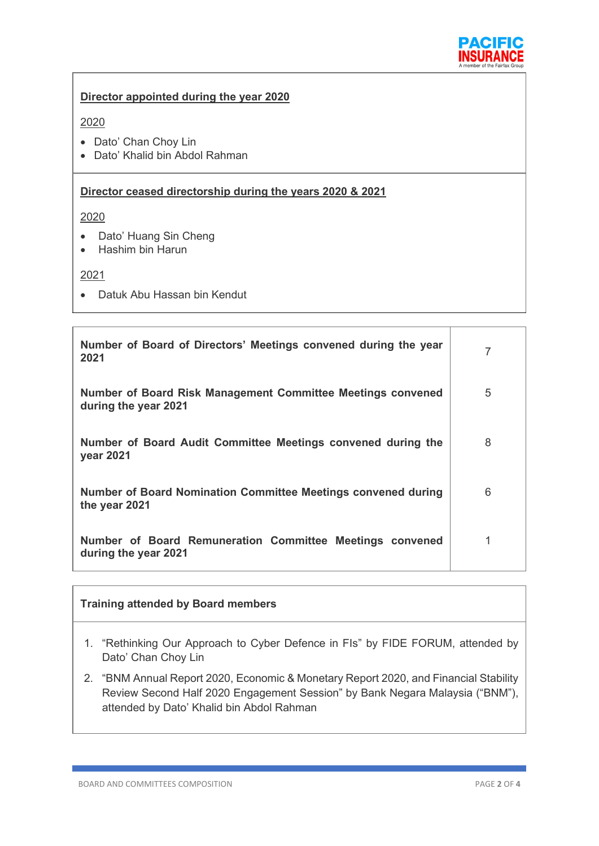

### **Director appointed during the year 2020**

### 2020

- Dato' Chan Choy Lin
- Dato' Khalid bin Abdol Rahman

### **Director ceased directorship during the years 2020 & 2021**

2020

- Dato' Huang Sin Cheng
- Hashim bin Harun

#### 2021

• Datuk Abu Hassan bin Kendut

| Number of Board of Directors' Meetings convened during the year<br>2021             |   |
|-------------------------------------------------------------------------------------|---|
| Number of Board Risk Management Committee Meetings convened<br>during the year 2021 | 5 |
| Number of Board Audit Committee Meetings convened during the<br>year 2021           | 8 |
| Number of Board Nomination Committee Meetings convened during<br>the year 2021      | 6 |
| Number of Board Remuneration Committee Meetings convened<br>during the year 2021    |   |

#### **Training attended by Board members**

- 1. "Rethinking Our Approach to Cyber Defence in FIs" by FIDE FORUM, attended by Dato' Chan Choy Lin
- 2. "BNM Annual Report 2020, Economic & Monetary Report 2020, and Financial Stability Review Second Half 2020 Engagement Session" by Bank Negara Malaysia ("BNM"), attended by Dato' Khalid bin Abdol Rahman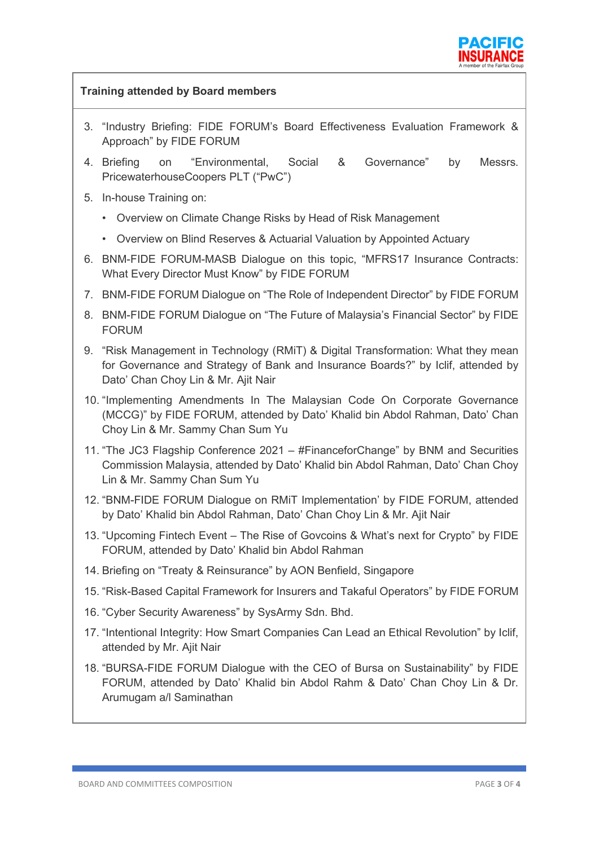

| <b>Training attended by Board members</b> |                                                                                                                                                                                                              |  |  |  |
|-------------------------------------------|--------------------------------------------------------------------------------------------------------------------------------------------------------------------------------------------------------------|--|--|--|
|                                           | 3. "Industry Briefing: FIDE FORUM's Board Effectiveness Evaluation Framework &<br>Approach" by FIDE FORUM                                                                                                    |  |  |  |
|                                           | "Environmental,<br>Social<br>&<br>Governance"<br>4. Briefing<br>Messrs.<br>on<br>by<br>PricewaterhouseCoopers PLT ("PwC")                                                                                    |  |  |  |
|                                           | 5. In-house Training on:                                                                                                                                                                                     |  |  |  |
|                                           | • Overview on Climate Change Risks by Head of Risk Management                                                                                                                                                |  |  |  |
|                                           | • Overview on Blind Reserves & Actuarial Valuation by Appointed Actuary                                                                                                                                      |  |  |  |
|                                           | 6. BNM-FIDE FORUM-MASB Dialogue on this topic, "MFRS17 Insurance Contracts:<br>What Every Director Must Know" by FIDE FORUM                                                                                  |  |  |  |
|                                           | 7. BNM-FIDE FORUM Dialogue on "The Role of Independent Director" by FIDE FORUM                                                                                                                               |  |  |  |
|                                           | 8. BNM-FIDE FORUM Dialogue on "The Future of Malaysia's Financial Sector" by FIDE<br><b>FORUM</b>                                                                                                            |  |  |  |
|                                           | 9. "Risk Management in Technology (RMIT) & Digital Transformation: What they mean<br>for Governance and Strategy of Bank and Insurance Boards?" by Iclif, attended by<br>Dato' Chan Choy Lin & Mr. Ajit Nair |  |  |  |
|                                           | 10. "Implementing Amendments In The Malaysian Code On Corporate Governance<br>(MCCG)" by FIDE FORUM, attended by Dato' Khalid bin Abdol Rahman, Dato' Chan<br>Choy Lin & Mr. Sammy Chan Sum Yu               |  |  |  |
|                                           | 11. "The JC3 Flagship Conference 2021 – #FinanceforChange" by BNM and Securities<br>Commission Malaysia, attended by Dato' Khalid bin Abdol Rahman, Dato' Chan Choy<br>Lin & Mr. Sammy Chan Sum Yu           |  |  |  |
|                                           | 12. "BNM-FIDE FORUM Dialogue on RMIT Implementation' by FIDE FORUM, attended<br>by Dato' Khalid bin Abdol Rahman, Dato' Chan Choy Lin & Mr. Ajit Nair                                                        |  |  |  |
|                                           | 13. "Upcoming Fintech Event - The Rise of Govcoins & What's next for Crypto" by FIDE<br>FORUM, attended by Dato' Khalid bin Abdol Rahman                                                                     |  |  |  |
|                                           | 14. Briefing on "Treaty & Reinsurance" by AON Benfield, Singapore                                                                                                                                            |  |  |  |
|                                           | 15. "Risk-Based Capital Framework for Insurers and Takaful Operators" by FIDE FORUM                                                                                                                          |  |  |  |
|                                           | 16. "Cyber Security Awareness" by SysArmy Sdn. Bhd.                                                                                                                                                          |  |  |  |
|                                           | 17. "Intentional Integrity: How Smart Companies Can Lead an Ethical Revolution" by Iclif,<br>attended by Mr. Ajit Nair                                                                                       |  |  |  |
|                                           | 18. "BURSA-FIDE FORUM Dialogue with the CEO of Bursa on Sustainability" by FIDE<br>FORUM, attended by Dato' Khalid bin Abdol Rahm & Dato' Chan Choy Lin & Dr.<br>Arumugam a/l Saminathan                     |  |  |  |